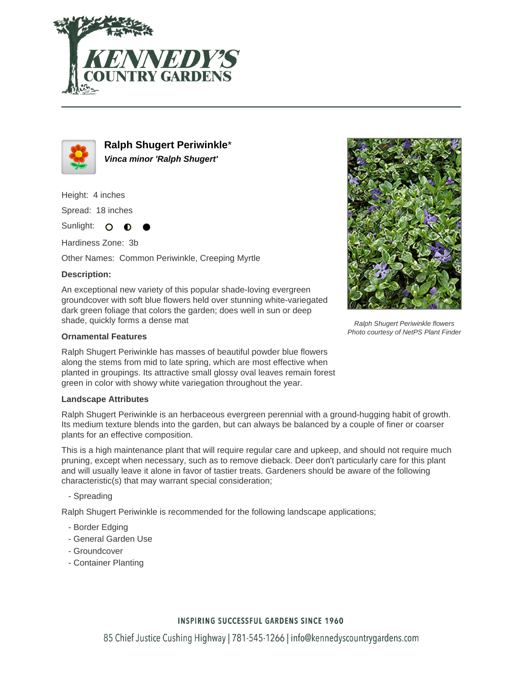



**Ralph Shugert Periwinkle**\* **Vinca minor 'Ralph Shugert'**

Height: 4 inches

Spread: 18 inches

Sunlight: O  $\bullet$ 

Hardiness Zone: 3b

Other Names: Common Periwinkle, Creeping Myrtle

## **Description:**

An exceptional new variety of this popular shade-loving evergreen groundcover with soft blue flowers held over stunning white-variegated dark green foliage that colors the garden; does well in sun or deep shade, quickly forms a dense mat

### **Ornamental Features**

Ralph Shugert Periwinkle has masses of beautiful powder blue flowers along the stems from mid to late spring, which are most effective when planted in groupings. Its attractive small glossy oval leaves remain forest green in color with showy white variegation throughout the year.

#### **Landscape Attributes**

Ralph Shugert Periwinkle is an herbaceous evergreen perennial with a ground-hugging habit of growth. Its medium texture blends into the garden, but can always be balanced by a couple of finer or coarser plants for an effective composition.

This is a high maintenance plant that will require regular care and upkeep, and should not require much pruning, except when necessary, such as to remove dieback. Deer don't particularly care for this plant and will usually leave it alone in favor of tastier treats. Gardeners should be aware of the following characteristic(s) that may warrant special consideration;

- Spreading

Ralph Shugert Periwinkle is recommended for the following landscape applications;

- Border Edging
- General Garden Use
- Groundcover
- Container Planting



Ralph Shugert Periwinkle flowers Photo courtesy of NetPS Plant Finder

# **INSPIRING SUCCESSFUL GARDENS SINCE 1960**